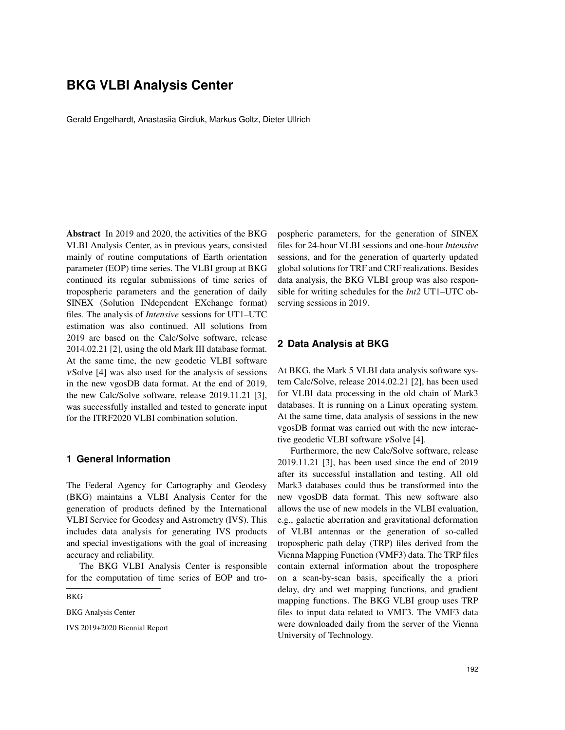# **BKG VLBI Analysis Center**

Gerald Engelhardt, Anastasiia Girdiuk, Markus Goltz, Dieter Ullrich

Abstract In 2019 and 2020, the activities of the BKG VLBI Analysis Center, as in previous years, consisted mainly of routine computations of Earth orientation parameter (EOP) time series. The VLBI group at BKG continued its regular submissions of time series of tropospheric parameters and the generation of daily SINEX (Solution INdependent EXchange format) files. The analysis of *Intensive* sessions for UT1–UTC estimation was also continued. All solutions from 2019 are based on the Calc/Solve software, release 2014.02.21 [2], using the old Mark III database format. At the same time, the new geodetic VLBI software νSolve [4] was also used for the analysis of sessions in the new vgosDB data format. At the end of 2019, the new Calc/Solve software, release 2019.11.21 [3], was successfully installed and tested to generate input for the ITRF2020 VLBI combination solution.

### **1 General Information**

The Federal Agency for Cartography and Geodesy (BKG) maintains a VLBI Analysis Center for the generation of products defined by the International VLBI Service for Geodesy and Astrometry (IVS). This includes data analysis for generating IVS products and special investigations with the goal of increasing accuracy and reliability.

The BKG VLBI Analysis Center is responsible for the computation of time series of EOP and tro-

BKG

BKG Analysis Center

IVS 2019+2020 Biennial Report

pospheric parameters, for the generation of SINEX files for 24-hour VLBI sessions and one-hour *Intensive* sessions, and for the generation of quarterly updated global solutions for TRF and CRF realizations. Besides data analysis, the BKG VLBI group was also responsible for writing schedules for the *Int2* UT1–UTC observing sessions in 2019.

## **2 Data Analysis at BKG**

At BKG, the Mark 5 VLBI data analysis software system Calc/Solve, release 2014.02.21 [2], has been used for VLBI data processing in the old chain of Mark3 databases. It is running on a Linux operating system. At the same time, data analysis of sessions in the new vgosDB format was carried out with the new interactive geodetic VLBI software νSolve [4].

Furthermore, the new Calc/Solve software, release 2019.11.21 [3], has been used since the end of 2019 after its successful installation and testing. All old Mark3 databases could thus be transformed into the new vgosDB data format. This new software also allows the use of new models in the VLBI evaluation, e.g., galactic aberration and gravitational deformation of VLBI antennas or the generation of so-called tropospheric path delay (TRP) files derived from the Vienna Mapping Function (VMF3) data. The TRP files contain external information about the troposphere on a scan-by-scan basis, specifically the a priori delay, dry and wet mapping functions, and gradient mapping functions. The BKG VLBI group uses TRP files to input data related to VMF3. The VMF3 data were downloaded daily from the server of the Vienna University of Technology.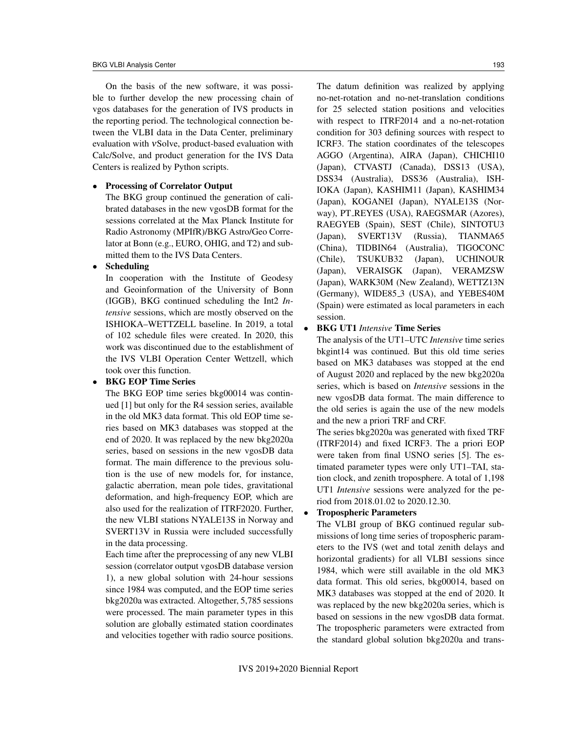On the basis of the new software, it was possible to further develop the new processing chain of vgos databases for the generation of IVS products in the reporting period. The technological connection between the VLBI data in the Data Center, preliminary evaluation with νSolve, product-based evaluation with Calc/Solve, and product generation for the IVS Data Centers is realized by Python scripts.

#### • Processing of Correlator Output

The BKG group continued the generation of calibrated databases in the new vgosDB format for the sessions correlated at the Max Planck Institute for Radio Astronomy (MPIfR)/BKG Astro/Geo Correlator at Bonn (e.g., EURO, OHIG, and T2) and submitted them to the IVS Data Centers.

#### **Scheduling**

In cooperation with the Institute of Geodesy and Geoinformation of the University of Bonn (IGGB), BKG continued scheduling the Int2 *Intensive* sessions, which are mostly observed on the ISHIOKA–WETTZELL baseline. In 2019, a total of 102 schedule files were created. In 2020, this work was discontinued due to the establishment of the IVS VLBI Operation Center Wettzell, which took over this function.

### • BKG EOP Time Series

The BKG EOP time series bkg00014 was continued [1] but only for the R4 session series, available in the old MK3 data format. This old EOP time series based on MK3 databases was stopped at the end of 2020. It was replaced by the new bkg2020a series, based on sessions in the new vgosDB data format. The main difference to the previous solution is the use of new models for, for instance, galactic aberration, mean pole tides, gravitational deformation, and high-frequency EOP, which are also used for the realization of ITRF2020. Further, the new VLBI stations NYALE13S in Norway and SVERT13V in Russia were included successfully in the data processing.

Each time after the preprocessing of any new VLBI session (correlator output vgosDB database version 1), a new global solution with 24-hour sessions since 1984 was computed, and the EOP time series bkg2020a was extracted. Altogether, 5,785 sessions were processed. The main parameter types in this solution are globally estimated station coordinates and velocities together with radio source positions. The datum definition was realized by applying no-net-rotation and no-net-translation conditions for 25 selected station positions and velocities with respect to ITRF2014 and a no-net-rotation condition for 303 defining sources with respect to ICRF3. The station coordinates of the telescopes AGGO (Argentina), AIRA (Japan), CHICHI10 (Japan), CTVASTJ (Canada), DSS13 (USA), DSS34 (Australia), DSS36 (Australia), ISH-IOKA (Japan), KASHIM11 (Japan), KASHIM34 (Japan), KOGANEI (Japan), NYALE13S (Norway), PT REYES (USA), RAEGSMAR (Azores), RAEGYEB (Spain), SEST (Chile), SINTOTU3 (Japan), SVERT13V (Russia), TIANMA65 (China), TIDBIN64 (Australia), TIGOCONC (Chile), TSUKUB32 (Japan), UCHINOUR (Japan), VERAISGK (Japan), VERAMZSW (Japan), WARK30M (New Zealand), WETTZ13N

# session.

# • BKG UT1 *Intensive* Time Series

The analysis of the UT1–UTC *Intensive* time series bkgint14 was continued. But this old time series based on MK3 databases was stopped at the end of August 2020 and replaced by the new bkg2020a series, which is based on *Intensive* sessions in the new vgosDB data format. The main difference to the old series is again the use of the new models and the new a priori TRF and CRF.

(Germany), WIDE85 3 (USA), and YEBES40M (Spain) were estimated as local parameters in each

The series bkg2020a was generated with fixed TRF (ITRF2014) and fixed ICRF3. The a priori EOP were taken from final USNO series [5]. The estimated parameter types were only UT1–TAI, station clock, and zenith troposphere. A total of 1,198 UT1 *Intensive* sessions were analyzed for the period from 2018.01.02 to 2020.12.30.

### • Tropospheric Parameters

The VLBI group of BKG continued regular submissions of long time series of tropospheric parameters to the IVS (wet and total zenith delays and horizontal gradients) for all VLBI sessions since 1984, which were still available in the old MK3 data format. This old series, bkg00014, based on MK3 databases was stopped at the end of 2020. It was replaced by the new bkg2020a series, which is based on sessions in the new vgosDB data format. The tropospheric parameters were extracted from the standard global solution bkg2020a and trans